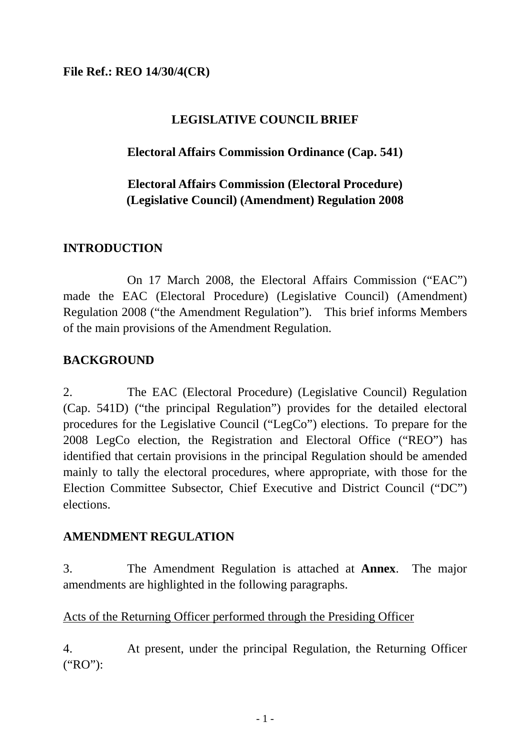## **File Ref.: REO 14/30/4(CR)**

## **LEGISLATIVE COUNCIL BRIEF**

## **Electoral Affairs Commission Ordinance (Cap. 541)**

# **Electoral Affairs Commission (Electoral Procedure) (Legislative Council) (Amendment) Regulation 2008**

## **INTRODUCTION**

On 17 March 2008, the Electoral Affairs Commission ("EAC") made the EAC (Electoral Procedure) (Legislative Council) (Amendment) Regulation 2008 ("the Amendment Regulation"). This brief informs Members of the main provisions of the Amendment Regulation.

## **BACKGROUND**

2. The EAC (Electoral Procedure) (Legislative Council) Regulation (Cap. 541D) ("the principal Regulation") provides for the detailed electoral procedures for the Legislative Council ("LegCo") elections. To prepare for the 2008 LegCo election, the Registration and Electoral Office ("REO") has identified that certain provisions in the principal Regulation should be amended mainly to tally the electoral procedures, where appropriate, with those for the Election Committee Subsector, Chief Executive and District Council ("DC") elections.

## **AMENDMENT REGULATION**

3. The Amendment Regulation is attached at **Annex**. The major amendments are highlighted in the following paragraphs.

## Acts of the Returning Officer performed through the Presiding Officer

4. At present, under the principal Regulation, the Returning Officer ("RO"):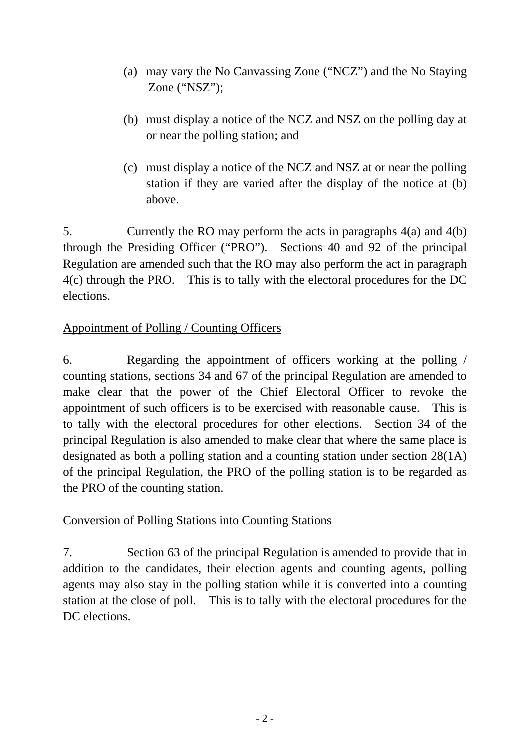- (a) may vary the No Canvassing Zone ("NCZ") and the No Staying Zone ("NSZ");
- (b) must display a notice of the NCZ and NSZ on the polling day at or near the polling station; and
- (c) must display a notice of the NCZ and NSZ at or near the polling station if they are varied after the display of the notice at (b) above.

5. Currently the RO may perform the acts in paragraphs 4(a) and 4(b) through the Presiding Officer ("PRO"). Sections 40 and 92 of the principal Regulation are amended such that the RO may also perform the act in paragraph 4(c) through the PRO. This is to tally with the electoral procedures for the DC elections.

# Appointment of Polling / Counting Officers

6. Regarding the appointment of officers working at the polling / counting stations, sections 34 and 67 of the principal Regulation are amended to make clear that the power of the Chief Electoral Officer to revoke the appointment of such officers is to be exercised with reasonable cause. This is to tally with the electoral procedures for other elections. Section 34 of the principal Regulation is also amended to make clear that where the same place is designated as both a polling station and a counting station under section 28(1A) of the principal Regulation, the PRO of the polling station is to be regarded as the PRO of the counting station.

# Conversion of Polling Stations into Counting Stations

7. Section 63 of the principal Regulation is amended to provide that in addition to the candidates, their election agents and counting agents, polling agents may also stay in the polling station while it is converted into a counting station at the close of poll. This is to tally with the electoral procedures for the DC elections.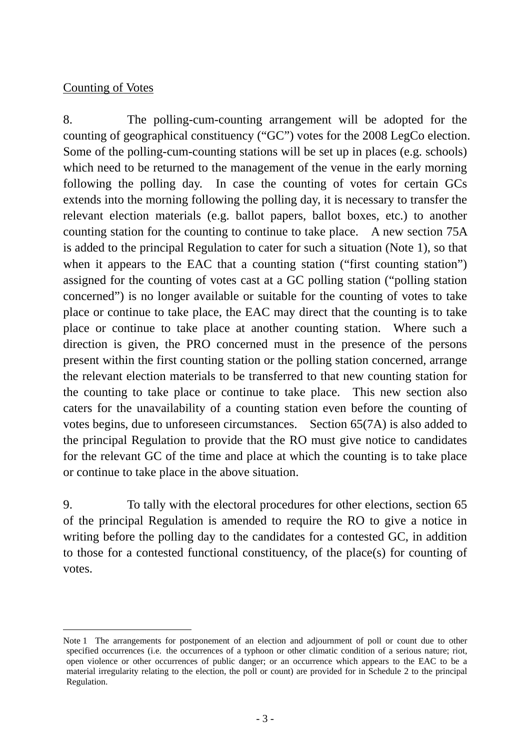## Counting of Votes

8. The polling-cum-counting arrangement will be adopted for the counting of geographical constituency ("GC") votes for the 2008 LegCo election. Some of the polling-cum-counting stations will be set up in places (e.g. schools) which need to be returned to the management of the venue in the early morning following the polling day. In case the counting of votes for certain GCs extends into the morning following the polling day, it is necessary to transfer the relevant election materials (e.g. ballot papers, ballot boxes, etc.) to another counting station for the counting to continue to take place. A new section 75A is added to the principal Regulation to cater for such a situation (Note 1), so that when it appears to the EAC that a co[unting statio](#page-2-0)n ("first counting station") assigned for the counting of votes cast at a GC polling station ("polling station concerned") is no longer available or suitable for the counting of votes to take place or continue to take place, the EAC may direct that the counting is to take place or continue to take place at another counting station. Where such a direction is given, the PRO concerned must in the presence of the persons present within the first counting station or the polling station concerned, arrange the relevant election materials to be transferred to that new counting station for the counting to take place or continue to take place. This new section also caters for the unavailability of a counting station even before the counting of votes begins, due to unforeseen circumstances. Section 65(7A) is also added to the principal Regulation to provide that the RO must give notice to candidates for the relevant GC of the time and place at which the counting is to take place or continue to take place in the above situation.

9. To tally with the electoral procedures for other elections, section 65 of the principal Regulation is amended to require the RO to give a notice in writing before the polling day to the candidates for a contested GC, in addition to those for a contested functional constituency, of the place(s) for counting of votes.

<span id="page-2-0"></span>Note 1 The arrangements for postponement of an election and adjournment of poll or count due to other specified occurrences (i.e. the occurrences of a typhoon or other climatic condition of a serious nature; riot, open violence or other occurrences of public danger; or an occurrence which appears to the EAC to be a material irregularity relating to the election, the poll or count) are provided for in Schedule 2 to the principal Regulation.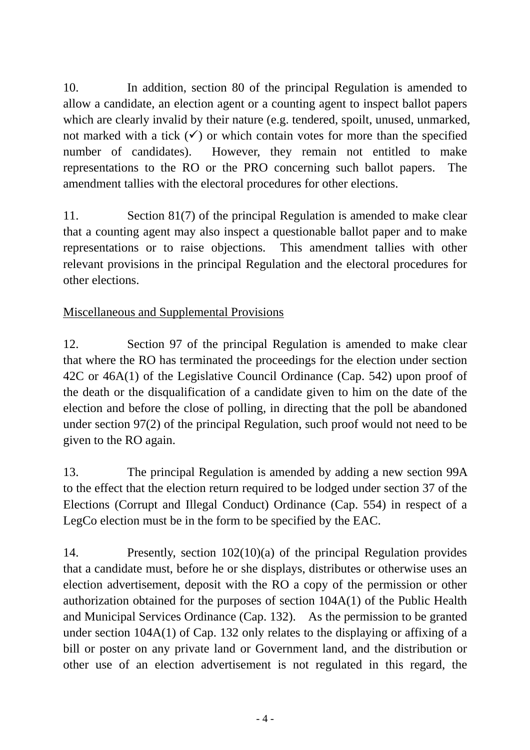10. In addition, section 80 of the principal Regulation is amended to allow a candidate, an election agent or a counting agent to inspect ballot papers which are clearly invalid by their nature (e.g. tendered, spoilt, unused, unmarked, not marked with a tick  $(\checkmark)$  or which contain votes for more than the specified number of candidates). However, they remain not entitled to make representations to the RO or the PRO concerning such ballot papers. The amendment tallies with the electoral procedures for other elections.

11. Section 81(7) of the principal Regulation is amended to make clear that a counting agent may also inspect a questionable ballot paper and to make representations or to raise objections. This amendment tallies with other relevant provisions in the principal Regulation and the electoral procedures for other elections.

Miscellaneous and Supplemental Provisions

12. Section 97 of the principal Regulation is amended to make clear that where the RO has terminated the proceedings for the election under section 42C or 46A(1) of the Legislative Council Ordinance (Cap. 542) upon proof of the death or the disqualification of a candidate given to him on the date of the election and before the close of polling, in directing that the poll be abandoned under section 97(2) of the principal Regulation, such proof would not need to be given to the RO again.

13. The principal Regulation is amended by adding a new section 99A to the effect that the election return required to be lodged under section 37 of the Elections (Corrupt and Illegal Conduct) Ordinance (Cap. 554) in respect of a LegCo election must be in the form to be specified by the EAC.

14. Presently, section 102(10)(a) of the principal Regulation provides that a candidate must, before he or she displays, distributes or otherwise uses an election advertisement, deposit with the RO a copy of the permission or other authorization obtained for the purposes of section 104A(1) of the Public Health and Municipal Services Ordinance (Cap. 132). As the permission to be granted under section 104A(1) of Cap. 132 only relates to the displaying or affixing of a bill or poster on any private land or Government land, and the distribution or other use of an election advertisement is not regulated in this regard, the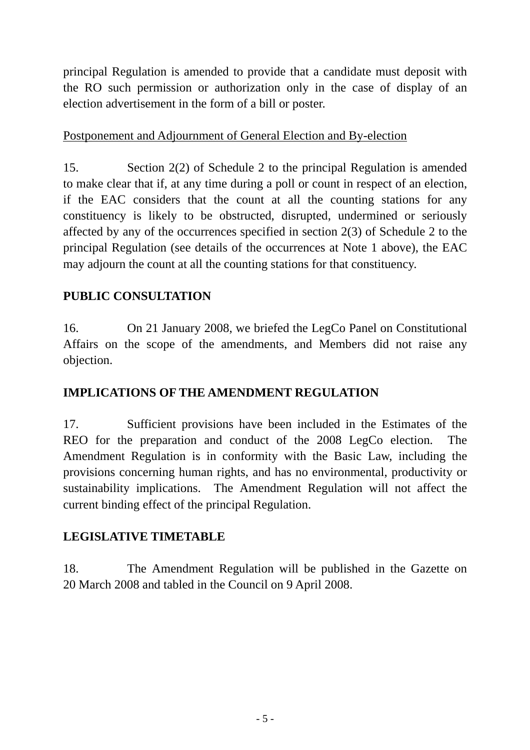principal Regulation is amended to provide that a candidate must deposit with the RO such permission or authorization only in the case of display of an election advertisement in the form of a bill or poster.

## Postponement and Adjournment of General Election and By-election

15. Section 2(2) of Schedule 2 to the principal Regulation is amended to make clear that if, at any time during a poll or count in respect of an election, if the EAC considers that the count at all the counting stations for any constituency is likely to be obstructed, disrupted, undermined or seriously affected by any of the occurrences specified in section 2(3) of Schedule 2 to the principal Regulation (see details of the occurrences at Note 1 above), the EAC may adjourn the count at all the counting stations for that constituency.

# **PUBLIC CONSULTATION**

16. On 21 January 2008, we briefed the LegCo Panel on Constitutional Affairs on the scope of the amendments, and Members did not raise any objection.

# **IMPLICATIONS OF THE AMENDMENT REGULATION**

17. Sufficient provisions have been included in the Estimates of the REO for the preparation and conduct of the 2008 LegCo election. The Amendment Regulation is in conformity with the Basic Law, including the provisions concerning human rights, and has no environmental, productivity or sustainability implications. The Amendment Regulation will not affect the current binding effect of the principal Regulation.

# **LEGISLATIVE TIMETABLE**

18. The Amendment Regulation will be published in the Gazette on 20 March 2008 and tabled in the Council on 9 April 2008.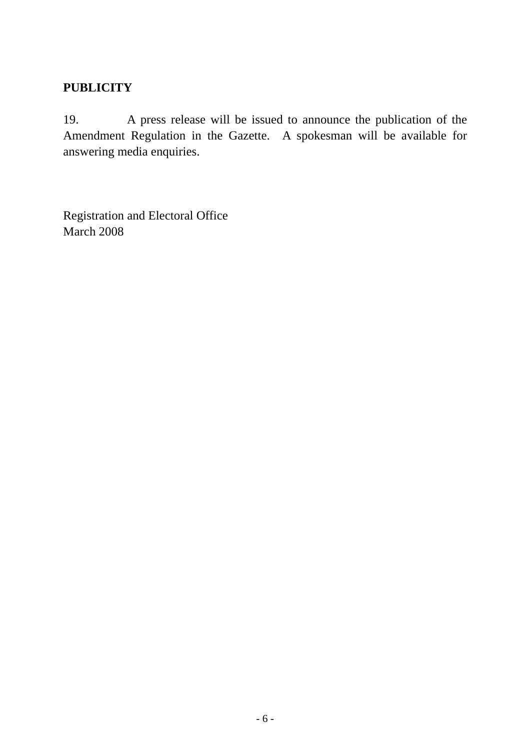# **PUBLICITY**

19. A press release will be issued to announce the publication of the Amendment Regulation in the Gazette. A spokesman will be available for answering media enquiries.

Registration and Electoral Office March 2008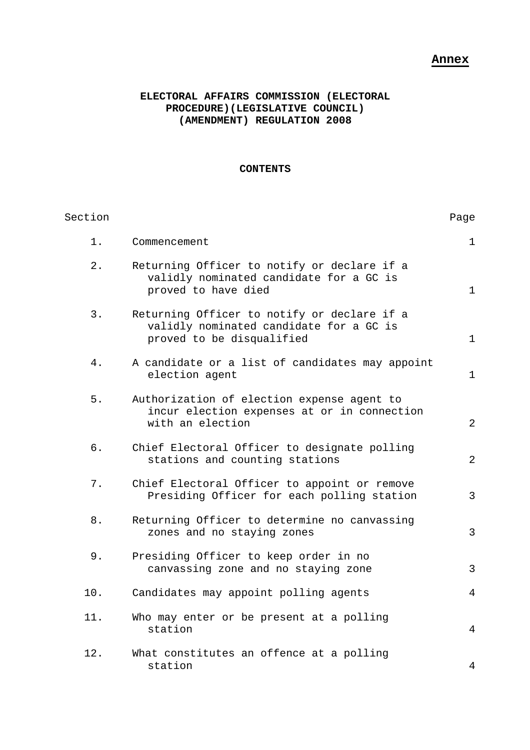## **Annex**

## **ELECTORAL AFFAIRS COMMISSION (ELECTORAL PROCEDURE)(LEGISLATIVE COUNCIL) (AMENDMENT) REGULATION 2008**

#### **CONTENTS**

| Section |                                                                                                                     | Page           |
|---------|---------------------------------------------------------------------------------------------------------------------|----------------|
| $1$ .   | Commencement                                                                                                        | 1              |
| 2.      | Returning Officer to notify or declare if a<br>validly nominated candidate for a GC is<br>proved to have died       | $\mathbf{1}$   |
| 3.      | Returning Officer to notify or declare if a<br>validly nominated candidate for a GC is<br>proved to be disqualified | $\mathbf{1}$   |
| $4$ .   | A candidate or a list of candidates may appoint<br>election agent                                                   | $\mathbf{1}$   |
| 5.      | Authorization of election expense agent to<br>incur election expenses at or in connection<br>with an election       | 2              |
| б.      | Chief Electoral Officer to designate polling<br>stations and counting stations                                      | 2              |
| 7.      | Chief Electoral Officer to appoint or remove<br>Presiding Officer for each polling station                          | 3              |
| 8.      | Returning Officer to determine no canvassing<br>zones and no staying zones                                          | 3              |
| 9.      | Presiding Officer to keep order in no<br>canvassing zone and no staying zone                                        | 3              |
| 10.     | Candidates may appoint polling agents                                                                               | $\overline{4}$ |
| 11.     | Who may enter or be present at a polling<br>station                                                                 | $\overline{4}$ |
| 12.     | What constitutes an offence at a polling<br>station                                                                 | 4              |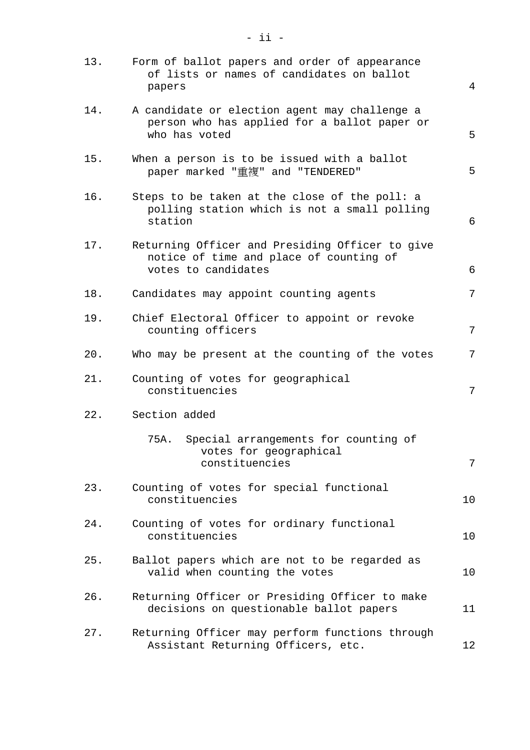| 13. | Form of ballot papers and order of appearance<br>of lists or names of candidates on ballot<br>papers              | 4  |
|-----|-------------------------------------------------------------------------------------------------------------------|----|
| 14. | A candidate or election agent may challenge a<br>person who has applied for a ballot paper or<br>who has voted    | 5  |
| 15. | When a person is to be issued with a ballot<br>paper marked "重複" and "TENDERED"                                   | 5  |
| 16. | Steps to be taken at the close of the poll: a<br>polling station which is not a small polling<br>station          | 6  |
| 17. | Returning Officer and Presiding Officer to give<br>notice of time and place of counting of<br>votes to candidates | 6  |
| 18. | Candidates may appoint counting agents                                                                            | 7  |
| 19. | Chief Electoral Officer to appoint or revoke<br>counting officers                                                 | 7  |
| 20. | Who may be present at the counting of the votes                                                                   | 7  |
| 21. | Counting of votes for geographical<br>constituencies                                                              | 7  |
| 22. | Section added                                                                                                     |    |
|     | Special arrangements for counting of<br>75A.<br>votes for geographical<br>constituencies                          | 7  |
| 23. | Counting of votes for special functional<br>constituencies                                                        | 10 |
| 24. | Counting of votes for ordinary functional<br>constituencies                                                       | 10 |
| 25. | Ballot papers which are not to be regarded as<br>valid when counting the votes                                    | 10 |
| 26. | Returning Officer or Presiding Officer to make<br>decisions on questionable ballot papers                         | 11 |
| 27. | Returning Officer may perform functions through<br>Assistant Returning Officers, etc.                             | 12 |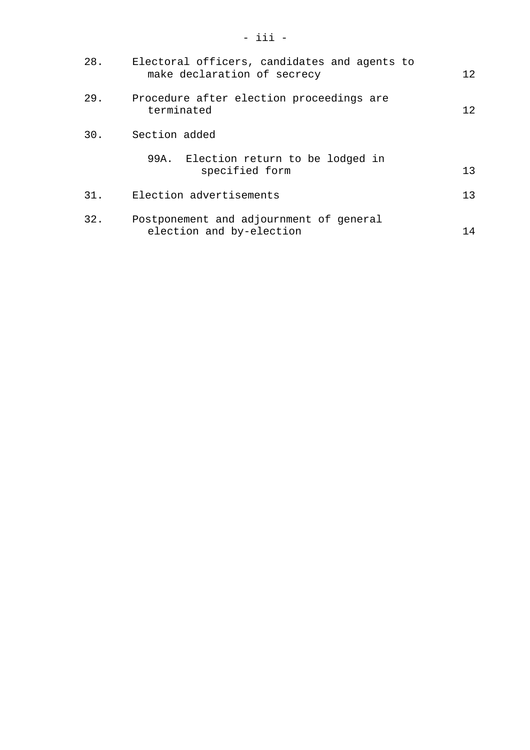| 28. | Electoral officers, candidates and agents to<br>make declaration of secrecy | 12. |
|-----|-----------------------------------------------------------------------------|-----|
| 29. | Procedure after election proceedings are<br>terminated                      | 12. |
| 30. | Section added                                                               |     |
|     | 99A. Election return to be lodged in<br>specified form                      | 13  |
| 31. | Election advertisements                                                     | 13  |
| 32. | Postponement and adjournment of general<br>election and by-election         | 14  |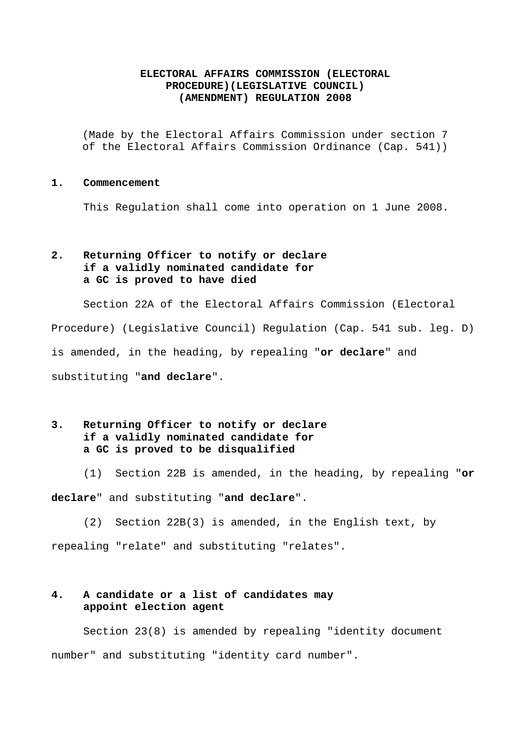### **ELECTORAL AFFAIRS COMMISSION (ELECTORAL PROCEDURE)(LEGISLATIVE COUNCIL) (AMENDMENT) REGULATION 2008**

(Made by the Electoral Affairs Commission under section 7 of the Electoral Affairs Commission Ordinance (Cap. 541))

#### **1. Commencement**

This Regulation shall come into operation on 1 June 2008.

## **2. Returning Officer to notify or declare if a validly nominated candidate for a GC is proved to have died**

 Section 22A of the Electoral Affairs Commission (Electoral Procedure) (Legislative Council) Regulation (Cap. 541 sub. leg. D) is amended, in the heading, by repealing "**or declare**" and substituting "**and declare**".

## **3. Returning Officer to notify or declare if a validly nominated candidate for a GC is proved to be disqualified**

(1) Section 22B is amended, in the heading, by repealing "**or** 

**declare**" and substituting "**and declare**".

(2) Section 22B(3) is amended, in the English text, by

repealing "relate" and substituting "relates".

## **4. A candidate or a list of candidates may appoint election agent**

Section 23(8) is amended by repealing "identity document number" and substituting "identity card number".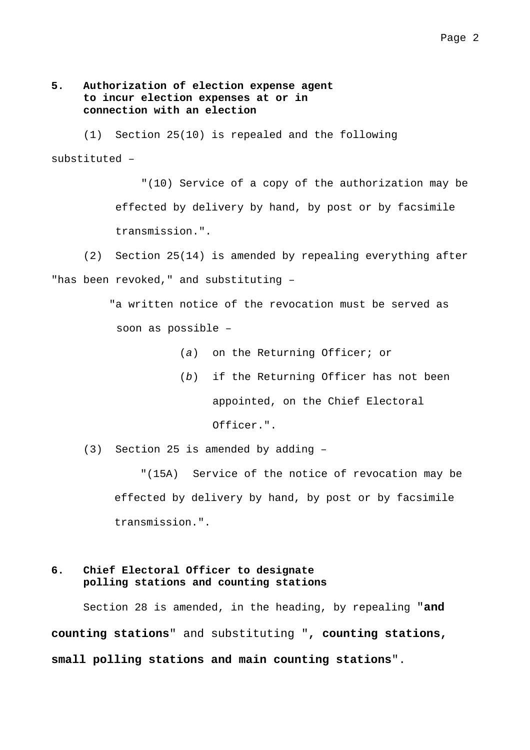### **5. Authorization of election expense agent to incur election expenses at or in connection with an election**

(1) Section 25(10) is repealed and the following substituted –

> "(10) Service of a copy of the authorization may be effected by delivery by hand, by post or by facsimile transmission.".

 (2) Section 25(14) is amended by repealing everything after "has been revoked," and substituting –

> "a written notice of the revocation must be served as soon as possible –

- (*a*) on the Returning Officer; or
- (*b*) if the Returning Officer has not been appointed, on the Chief Electoral Officer.".

(3) Section 25 is amended by adding –

"(15A) Service of the notice of revocation may be effected by delivery by hand, by post or by facsimile transmission.".

## **6. Chief Electoral Officer to designate polling stations and counting stations**

Section 28 is amended, in the heading, by repealing "**and counting stations**" and substituting "**, counting stations, small polling stations and main counting stations**".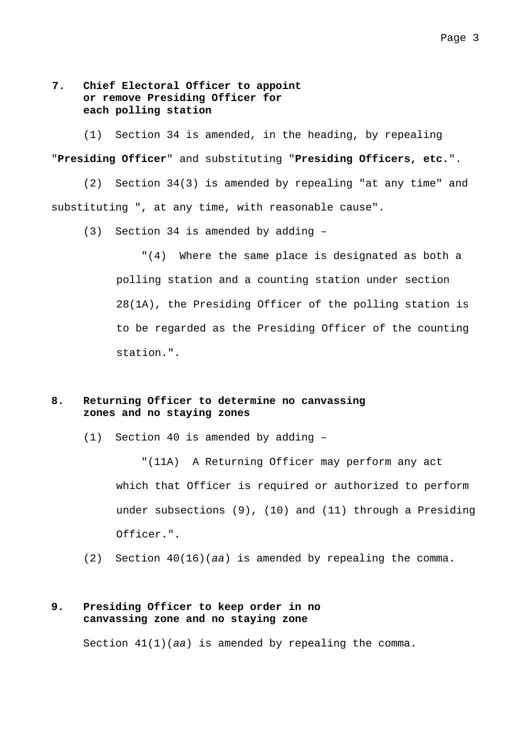## **7. Chief Electoral Officer to appoint or remove Presiding Officer for each polling station**

 (1) Section 34 is amended, in the heading, by repealing "**Presiding Officer**" and substituting "**Presiding Officers, etc.**".

 (2) Section 34(3) is amended by repealing "at any time" and substituting ", at any time, with reasonable cause".

(3) Section 34 is amended by adding –

"(4) Where the same place is designated as both a polling station and a counting station under section 28(1A), the Presiding Officer of the polling station is to be regarded as the Presiding Officer of the counting station.".

### **8. Returning Officer to determine no canvassing zones and no staying zones**

(1) Section 40 is amended by adding –

"(11A) A Returning Officer may perform any act which that Officer is required or authorized to perform under subsections (9), (10) and (11) through a Presiding Officer.".

(2) Section 40(16)(*aa*) is amended by repealing the comma.

### **9. Presiding Officer to keep order in no canvassing zone and no staying zone**

Section 41(1)(*aa*) is amended by repealing the comma.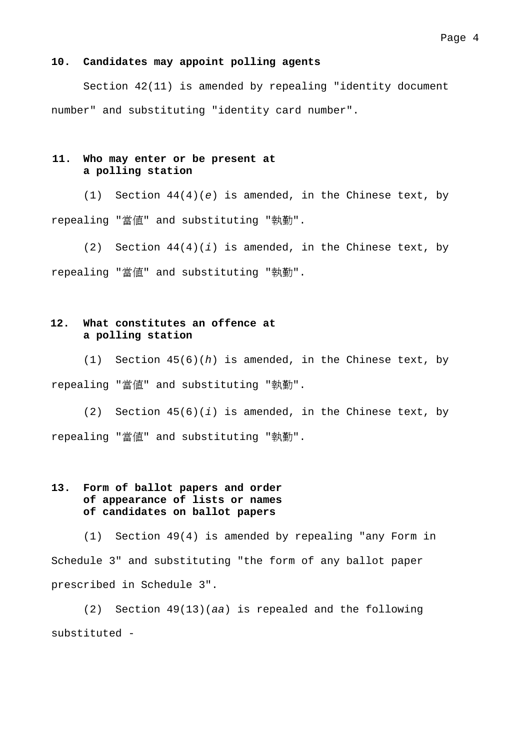#### **10. Candidates may appoint polling agents**

Section 42(11) is amended by repealing "identity document number" and substituting "identity card number".

#### **11. Who may enter or be present at a polling station**

 (1) Section 44(4)(*e*) is amended, in the Chinese text, by repealing "當值" and substituting "執勤".

 (2) Section 44(4)(*i*) is amended, in the Chinese text, by repealing "當值" and substituting "執勤".

## **12. What constitutes an offence at a polling station**

(1) Section 45(6)(*h*) is amended, in the Chinese text, by repealing "當值" and substituting "執勤".

(2) Section 45(6)(*i*) is amended, in the Chinese text, by repealing "當值" and substituting "執勤".

## **13. Form of ballot papers and order of appearance of lists or names of candidates on ballot papers**

 (1) Section 49(4) is amended by repealing "any Form in Schedule 3" and substituting "the form of any ballot paper prescribed in Schedule 3".

 (2) Section 49(13)(*aa*) is repealed and the following substituted -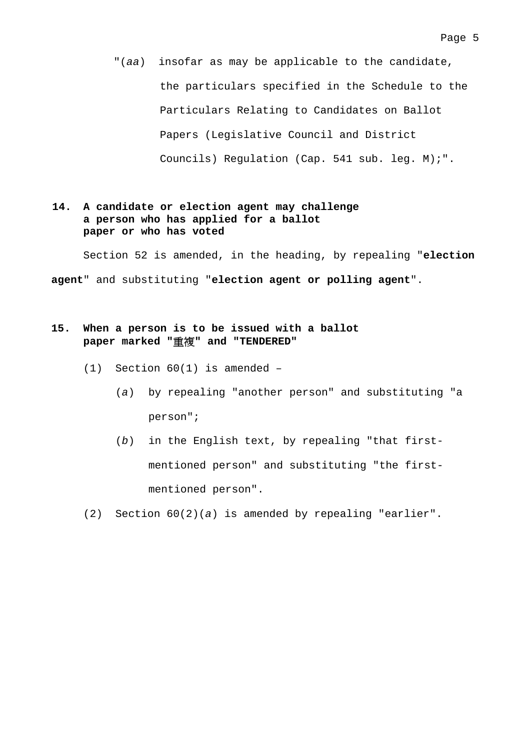"(*aa*) insofar as may be applicable to the candidate, the particulars specified in the Schedule to the Particulars Relating to Candidates on Ballot Papers (Legislative Council and District Councils) Regulation (Cap. 541 sub. leg. M);".

### **14. A candidate or election agent may challenge a person who has applied for a ballot paper or who has voted**

Section 52 is amended, in the heading, by repealing "**election agent**" and substituting "**election agent or polling agent**".

## **15. When a person is to be issued with a ballot paper marked "**重複**" and "TENDERED"**

- (1) Section 60(1) is amended
	- (*a*) by repealing "another person" and substituting "a person";
	- (*b*) in the English text, by repealing "that firstmentioned person" and substituting "the firstmentioned person".
- (2) Section 60(2)(*a*) is amended by repealing "earlier".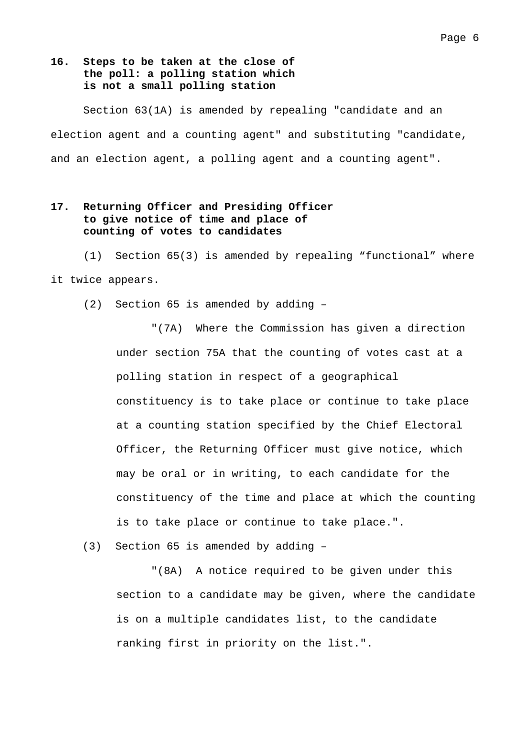## **16. Steps to be taken at the close of the poll: a polling station which is not a small polling station**

Section 63(1A) is amended by repealing "candidate and an election agent and a counting agent" and substituting "candidate, and an election agent, a polling agent and a counting agent".

### **17. Returning Officer and Presiding Officer to give notice of time and place of counting of votes to candidates**

(1) Section 65(3) is amended by repealing "functional" where it twice appears.

(2) Section 65 is amended by adding –

"(7A) Where the Commission has given a direction under section 75A that the counting of votes cast at a polling station in respect of a geographical constituency is to take place or continue to take place at a counting station specified by the Chief Electoral Officer, the Returning Officer must give notice, which may be oral or in writing, to each candidate for the constituency of the time and place at which the counting is to take place or continue to take place.".

(3) Section 65 is amended by adding –

"(8A) A notice required to be given under this section to a candidate may be given, where the candidate is on a multiple candidates list, to the candidate ranking first in priority on the list.".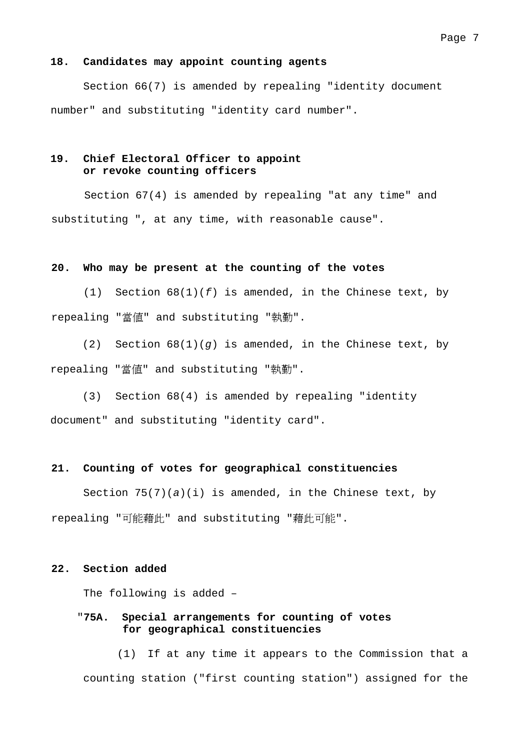#### **18. Candidates may appoint counting agents**

 Section 66(7) is amended by repealing "identity document number" and substituting "identity card number".

### **19. Chief Electoral Officer to appoint or revoke counting officers**

Section 67(4) is amended by repealing "at any time" and substituting ", at any time, with reasonable cause".

#### **20. Who may be present at the counting of the votes**

(1) Section 68(1)(*f*) is amended, in the Chinese text, by repealing "當值" and substituting "執勤".

(2) Section 68(1)(*g*) is amended, in the Chinese text, by repealing "當值" and substituting "執勤".

(3) Section 68(4) is amended by repealing "identity document" and substituting "identity card".

#### **21. Counting of votes for geographical constituencies**

 Section 75(7)(*a*)(i) is amended, in the Chinese text, by repealing "可能藉此" and substituting "藉此可能".

#### **22. Section added**

The following is added –

### "**75A. Special arrangements for counting of votes for geographical constituencies**

(1) If at any time it appears to the Commission that a counting station ("first counting station") assigned for the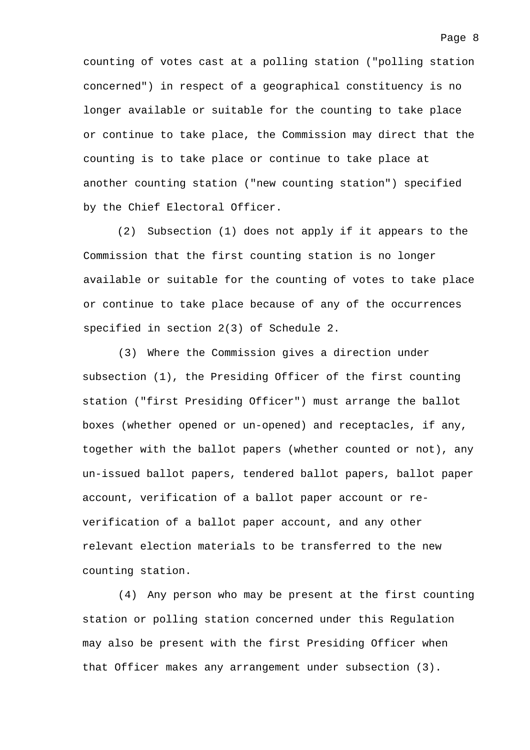counting of votes cast at a polling station ("polling station concerned") in respect of a geographical constituency is no longer available or suitable for the counting to take place or continue to take place, the Commission may direct that the counting is to take place or continue to take place at another counting station ("new counting station") specified by the Chief Electoral Officer.

(2) Subsection (1) does not apply if it appears to the Commission that the first counting station is no longer available or suitable for the counting of votes to take place or continue to take place because of any of the occurrences specified in section 2(3) of Schedule 2.

(3) Where the Commission gives a direction under subsection (1), the Presiding Officer of the first counting station ("first Presiding Officer") must arrange the ballot boxes (whether opened or un-opened) and receptacles, if any, together with the ballot papers (whether counted or not), any un-issued ballot papers, tendered ballot papers, ballot paper account, verification of a ballot paper account or reverification of a ballot paper account, and any other relevant election materials to be transferred to the new counting station.

(4) Any person who may be present at the first counting station or polling station concerned under this Regulation may also be present with the first Presiding Officer when that Officer makes any arrangement under subsection (3).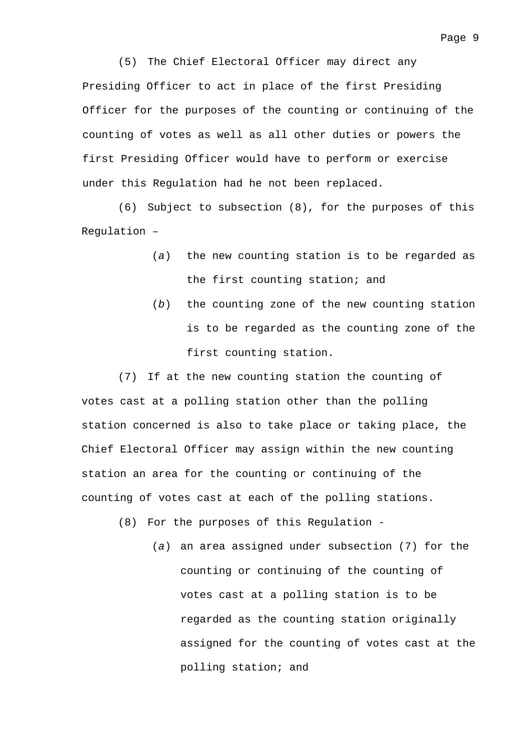(5) The Chief Electoral Officer may direct any Presiding Officer to act in place of the first Presiding Officer for the purposes of the counting or continuing of the counting of votes as well as all other duties or powers the first Presiding Officer would have to perform or exercise under this Regulation had he not been replaced.

(6) Subject to subsection (8), for the purposes of this Regulation –

- (*a*) the new counting station is to be regarded as the first counting station; and
- (*b*) the counting zone of the new counting station is to be regarded as the counting zone of the first counting station.

(7) If at the new counting station the counting of votes cast at a polling station other than the polling station concerned is also to take place or taking place, the Chief Electoral Officer may assign within the new counting station an area for the counting or continuing of the counting of votes cast at each of the polling stations.

(8) For the purposes of this Regulation -

(*a*) an area assigned under subsection (7) for the counting or continuing of the counting of votes cast at a polling station is to be regarded as the counting station originally assigned for the counting of votes cast at the polling station; and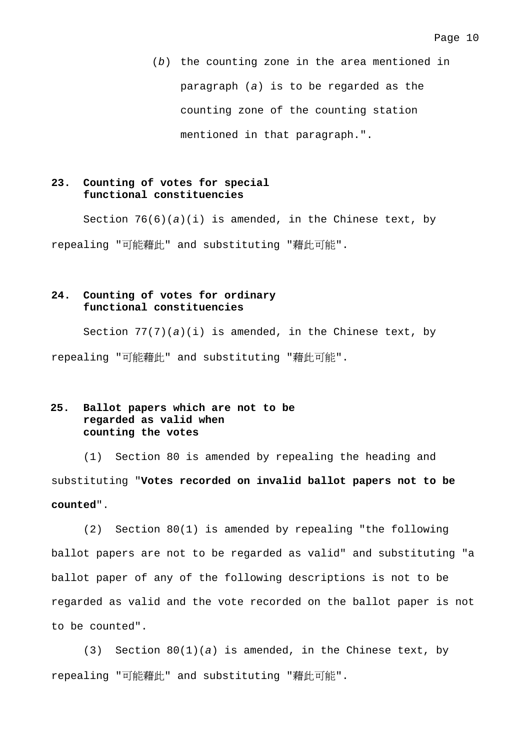(*b*) the counting zone in the area mentioned in paragraph (*a*) is to be regarded as the counting zone of the counting station mentioned in that paragraph.".

### **23. Counting of votes for special functional constituencies**

 Section 76(6)(*a*)(i) is amended, in the Chinese text, by repealing "可能藉此" and substituting "藉此可能".

## **24. Counting of votes for ordinary functional constituencies**

Section  $77(7)(a)(i)$  is amended, in the Chinese text, by repealing "可能藉此" and substituting "藉此可能".

## **25. Ballot papers which are not to be regarded as valid when counting the votes**

 (1) Section 80 is amended by repealing the heading and substituting "**Votes recorded on invalid ballot papers not to be counted**".

 (2) Section 80(1) is amended by repealing "the following ballot papers are not to be regarded as valid" and substituting "a ballot paper of any of the following descriptions is not to be regarded as valid and the vote recorded on the ballot paper is not to be counted".

 (3) Section 80(1)(*a*) is amended, in the Chinese text, by repealing "可能藉此" and substituting "藉此可能".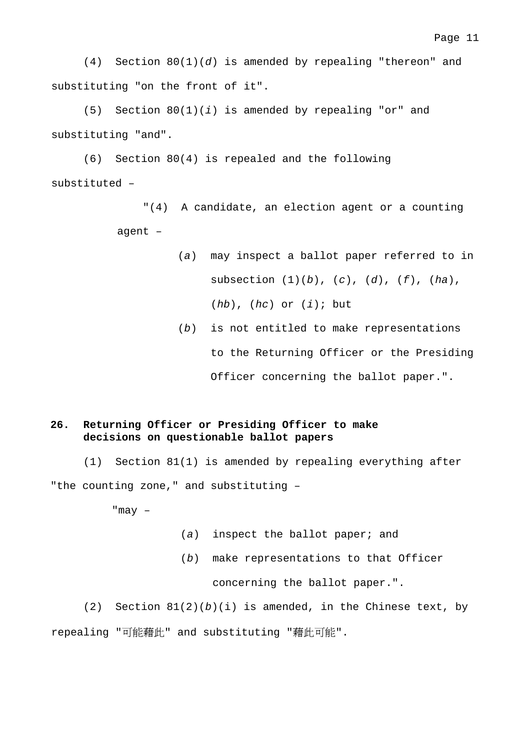Page 11

 (4) Section 80(1)(*d*) is amended by repealing "thereon" and substituting "on the front of it".

 (5) Section 80(1)(*i*) is amended by repealing "or" and substituting "and".

 (6) Section 80(4) is repealed and the following substituted –

> "(4) A candidate, an election agent or a counting agent –

- (*a*) may inspect a ballot paper referred to in subsection (1)(*b*), (*c*), (*d*), (*f*), (*ha*), (*hb*), (*hc*) or (*i*); but
	- (*b*) is not entitled to make representations to the Returning Officer or the Presiding Officer concerning the ballot paper.".

### **26. Returning Officer or Presiding Officer to make decisions on questionable ballot papers**

(1) Section 81(1) is amended by repealing everything after "the counting zone," and substituting –

"may –

- (*a*) inspect the ballot paper; and
- (*b*) make representations to that Officer

concerning the ballot paper.".

 $(2)$  Section  $81(2)(b)(i)$  is amended, in the Chinese text, by repealing "可能藉此" and substituting "藉此可能".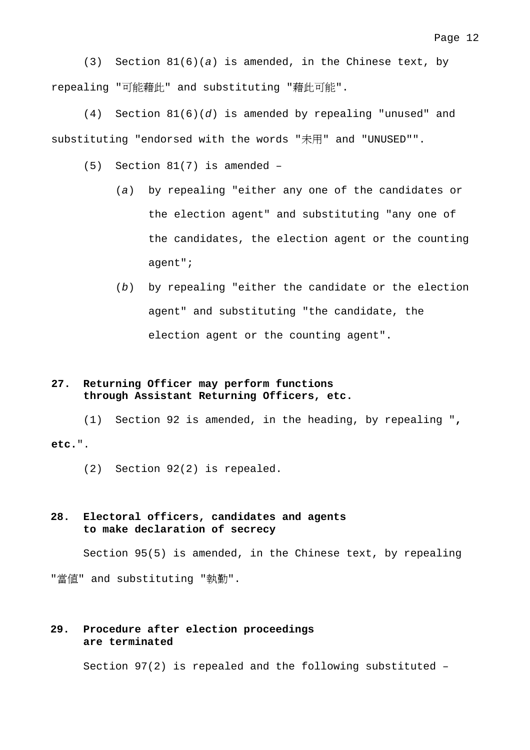(3) Section 81(6)(*a*) is amended, in the Chinese text, by repealing "可能藉此" and substituting "藉此可能".

 (4) Section 81(6)(*d*) is amended by repealing "unused" and substituting "endorsed with the words "未用" and "UNUSED"".

(5) Section 81(7) is amended –

- (*a*) by repealing "either any one of the candidates or the election agent" and substituting "any one of the candidates, the election agent or the counting agent";
- (*b*) by repealing "either the candidate or the election agent" and substituting "the candidate, the election agent or the counting agent".

## **27. Returning Officer may perform functions through Assistant Returning Officers, etc.**

 (1) Section 92 is amended, in the heading, by repealing "**, etc.**".

(2) Section 92(2) is repealed.

### **28. Electoral officers, candidates and agents to make declaration of secrecy**

Section 95(5) is amended, in the Chinese text, by repealing "當值" and substituting "執勤".

#### **29. Procedure after election proceedings are terminated**

Section 97(2) is repealed and the following substituted –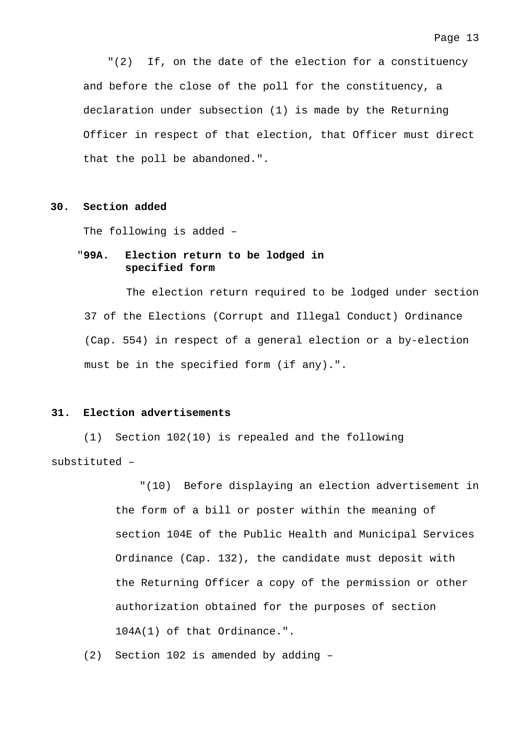"(2) If, on the date of the election for a constituency and before the close of the poll for the constituency, a declaration under subsection (1) is made by the Returning Officer in respect of that election, that Officer must direct that the poll be abandoned.".

#### **30. Section added**

The following is added –

### "**99A. Election return to be lodged in specified form**

The election return required to be lodged under section 37 of the Elections (Corrupt and Illegal Conduct) Ordinance (Cap. 554) in respect of a general election or a by-election must be in the specified form (if any).".

#### **31. Election advertisements**

 (1) Section 102(10) is repealed and the following substituted –

> "(10) Before displaying an election advertisement in the form of a bill or poster within the meaning of section 104E of the Public Health and Municipal Services Ordinance (Cap. 132), the candidate must deposit with the Returning Officer a copy of the permission or other authorization obtained for the purposes of section 104A(1) of that Ordinance.".

(2) Section 102 is amended by adding –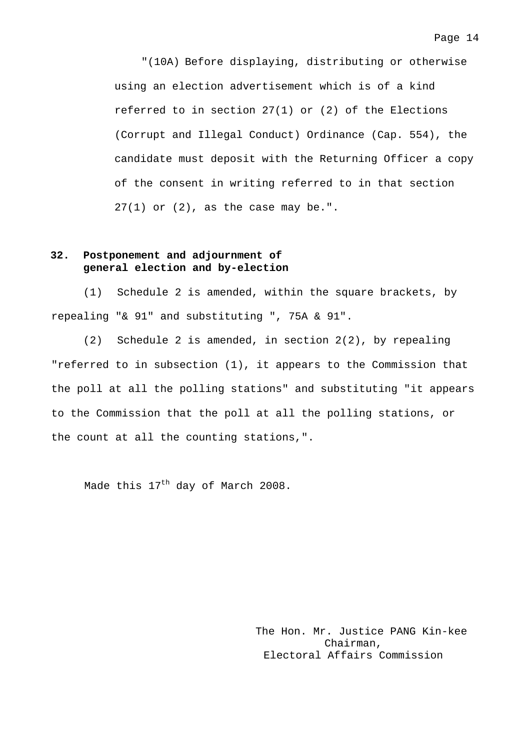"(10A) Before displaying, distributing or otherwise using an election advertisement which is of a kind referred to in section 27(1) or (2) of the Elections (Corrupt and Illegal Conduct) Ordinance (Cap. 554), the candidate must deposit with the Returning Officer a copy of the consent in writing referred to in that section  $27(1)$  or  $(2)$ , as the case may be.".

### **32. Postponement and adjournment of general election and by-election**

(1) Schedule 2 is amended, within the square brackets, by repealing "& 91" and substituting ", 75A & 91".

(2) Schedule 2 is amended, in section 2(2), by repealing "referred to in subsection (1), it appears to the Commission that the poll at all the polling stations" and substituting "it appears to the Commission that the poll at all the polling stations, or the count at all the counting stations,".

Made this 17<sup>th</sup> day of March 2008.

The Hon. Mr. Justice PANG Kin-kee Chairman, Electoral Affairs Commission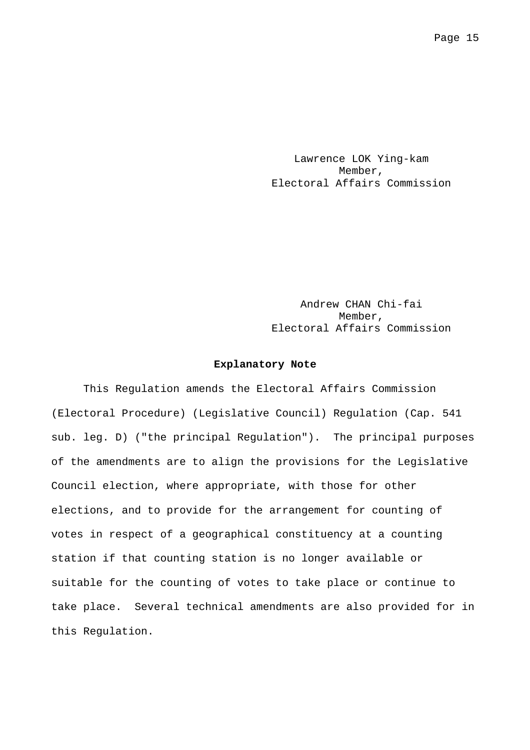Lawrence LOK Ying-kam Member, Electoral Affairs Commission

Andrew CHAN Chi-fai Member, Electoral Affairs Commission

#### **Explanatory Note**

 This Regulation amends the Electoral Affairs Commission (Electoral Procedure) (Legislative Council) Regulation (Cap. 541 sub. leg. D) ("the principal Regulation"). The principal purposes of the amendments are to align the provisions for the Legislative Council election, where appropriate, with those for other elections, and to provide for the arrangement for counting of votes in respect of a geographical constituency at a counting station if that counting station is no longer available or suitable for the counting of votes to take place or continue to take place. Several technical amendments are also provided for in this Regulation.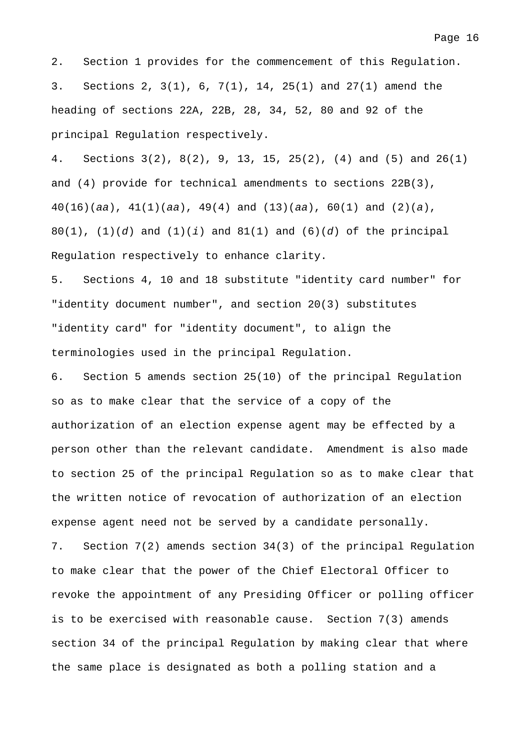2. Section 1 provides for the commencement of this Regulation. 3. Sections 2, 3(1), 6, 7(1), 14, 25(1) and 27(1) amend the heading of sections 22A, 22B, 28, 34, 52, 80 and 92 of the principal Regulation respectively.

4. Sections 3(2), 8(2), 9, 13, 15, 25(2), (4) and (5) and 26(1) and (4) provide for technical amendments to sections 22B(3), 40(16)(*aa*), 41(1)(*aa*), 49(4) and (13)(*aa*), 60(1) and (2)(*a*), 80(1), (1)(*d*) and (1)(*i*) and 81(1) and (6)(*d*) of the principal Regulation respectively to enhance clarity.

5. Sections 4, 10 and 18 substitute "identity card number" for "identity document number", and section 20(3) substitutes "identity card" for "identity document", to align the terminologies used in the principal Regulation.

6. Section 5 amends section 25(10) of the principal Regulation so as to make clear that the service of a copy of the authorization of an election expense agent may be effected by a person other than the relevant candidate. Amendment is also made to section 25 of the principal Regulation so as to make clear that the written notice of revocation of authorization of an election expense agent need not be served by a candidate personally. 7. Section 7(2) amends section 34(3) of the principal Regulation to make clear that the power of the Chief Electoral Officer to revoke the appointment of any Presiding Officer or polling officer is to be exercised with reasonable cause. Section 7(3) amends section 34 of the principal Regulation by making clear that where the same place is designated as both a polling station and a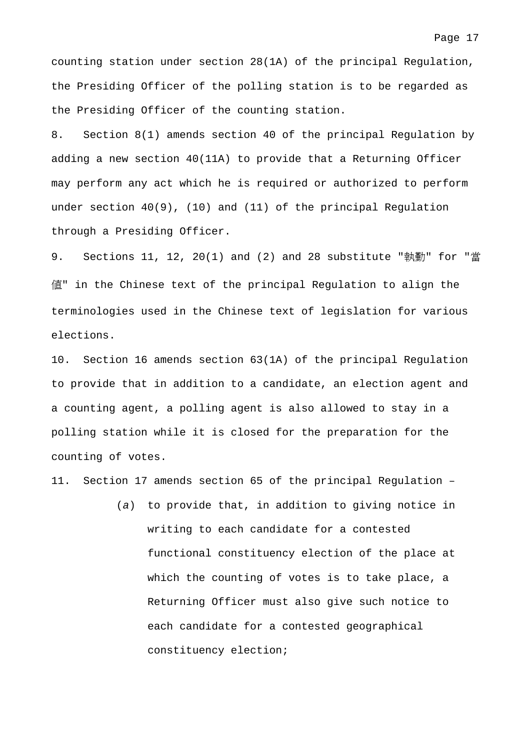counting station under section 28(1A) of the principal Regulation, the Presiding Officer of the polling station is to be regarded as the Presiding Officer of the counting station.

8. Section 8(1) amends section 40 of the principal Regulation by adding a new section 40(11A) to provide that a Returning Officer may perform any act which he is required or authorized to perform under section 40(9), (10) and (11) of the principal Regulation through a Presiding Officer.

9. Sections 11, 12, 20(1) and (2) and 28 substitute "執勤" for "當 值" in the Chinese text of the principal Regulation to align the terminologies used in the Chinese text of legislation for various elections.

10. Section 16 amends section 63(1A) of the principal Regulation to provide that in addition to a candidate, an election agent and a counting agent, a polling agent is also allowed to stay in a polling station while it is closed for the preparation for the counting of votes.

11. Section 17 amends section 65 of the principal Regulation –

(*a*) to provide that, in addition to giving notice in writing to each candidate for a contested functional constituency election of the place at which the counting of votes is to take place, a Returning Officer must also give such notice to each candidate for a contested geographical constituency election;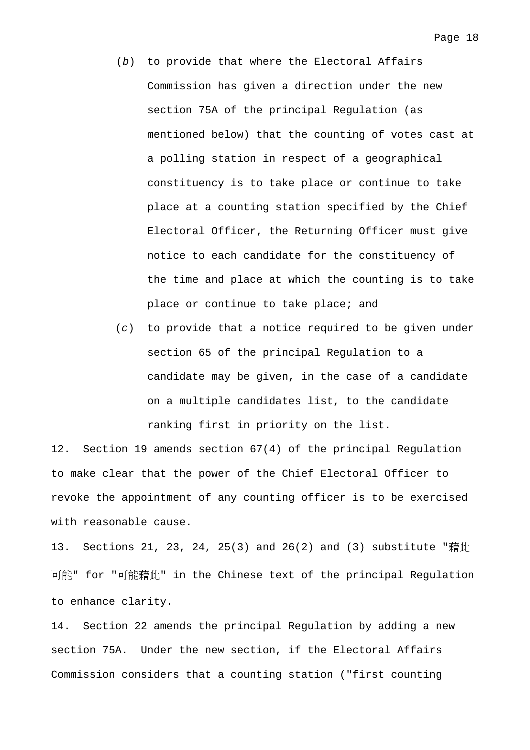- (*b*) to provide that where the Electoral Affairs Commission has given a direction under the new section 75A of the principal Regulation (as mentioned below) that the counting of votes cast at a polling station in respect of a geographical constituency is to take place or continue to take place at a counting station specified by the Chief Electoral Officer, the Returning Officer must give notice to each candidate for the constituency of the time and place at which the counting is to take place or continue to take place; and
- (*c*) to provide that a notice required to be given under section 65 of the principal Regulation to a candidate may be given, in the case of a candidate on a multiple candidates list, to the candidate ranking first in priority on the list.

12. Section 19 amends section 67(4) of the principal Regulation to make clear that the power of the Chief Electoral Officer to revoke the appointment of any counting officer is to be exercised with reasonable cause.

13. Sections 21, 23, 24, 25(3) and 26(2) and (3) substitute "藉此 可能" for "可能藉此" in the Chinese text of the principal Regulation to enhance clarity.

14. Section 22 amends the principal Regulation by adding a new section 75A. Under the new section, if the Electoral Affairs Commission considers that a counting station ("first counting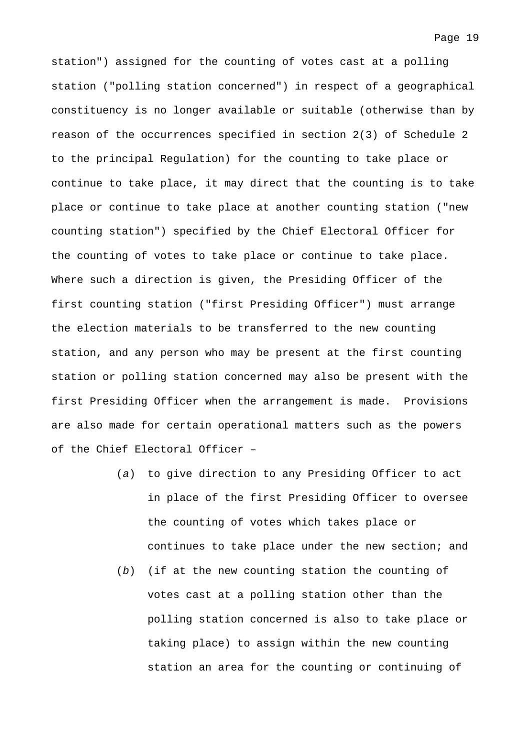station") assigned for the counting of votes cast at a polling station ("polling station concerned") in respect of a geographical constituency is no longer available or suitable (otherwise than by reason of the occurrences specified in section 2(3) of Schedule 2 to the principal Regulation) for the counting to take place or continue to take place, it may direct that the counting is to take place or continue to take place at another counting station ("new counting station") specified by the Chief Electoral Officer for the counting of votes to take place or continue to take place. Where such a direction is given, the Presiding Officer of the first counting station ("first Presiding Officer") must arrange the election materials to be transferred to the new counting station, and any person who may be present at the first counting station or polling station concerned may also be present with the first Presiding Officer when the arrangement is made. Provisions are also made for certain operational matters such as the powers of the Chief Electoral Officer –

- (*a*) to give direction to any Presiding Officer to act in place of the first Presiding Officer to oversee the counting of votes which takes place or continues to take place under the new section; and
- (*b*) (if at the new counting station the counting of votes cast at a polling station other than the polling station concerned is also to take place or taking place) to assign within the new counting station an area for the counting or continuing of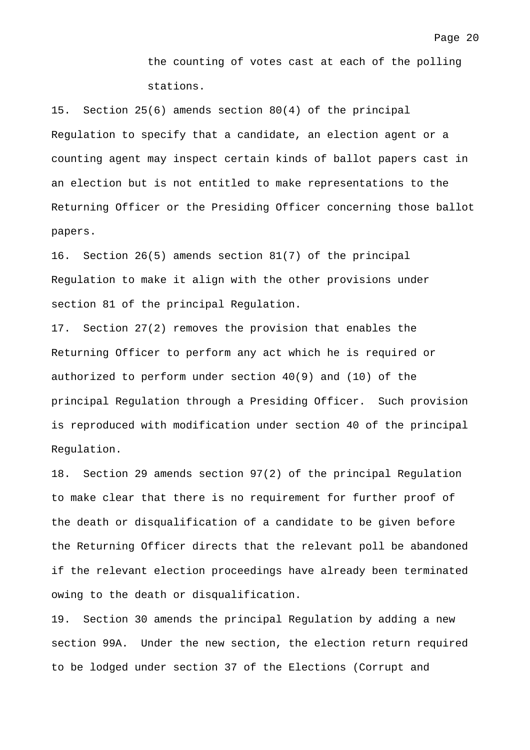the counting of votes cast at each of the polling stations.

15. Section 25(6) amends section 80(4) of the principal Regulation to specify that a candidate, an election agent or a counting agent may inspect certain kinds of ballot papers cast in an election but is not entitled to make representations to the Returning Officer or the Presiding Officer concerning those ballot papers.

16. Section 26(5) amends section 81(7) of the principal Regulation to make it align with the other provisions under section 81 of the principal Regulation.

17. Section 27(2) removes the provision that enables the Returning Officer to perform any act which he is required or authorized to perform under section 40(9) and (10) of the principal Regulation through a Presiding Officer. Such provision is reproduced with modification under section 40 of the principal Regulation.

18. Section 29 amends section 97(2) of the principal Regulation to make clear that there is no requirement for further proof of the death or disqualification of a candidate to be given before the Returning Officer directs that the relevant poll be abandoned if the relevant election proceedings have already been terminated owing to the death or disqualification.

19. Section 30 amends the principal Regulation by adding a new section 99A. Under the new section, the election return required to be lodged under section 37 of the Elections (Corrupt and